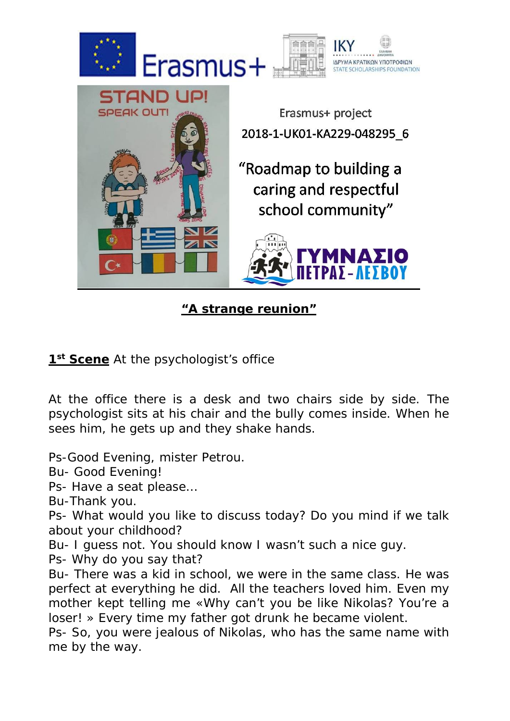



"Roadmap to building a caring and respectful school community"



**"A strange reunion"**

1<sup>st</sup> **Scene** At the psychologist's office

At the office there is a desk and two chairs side by side. The psychologist sits at his chair and the bully comes inside. When he sees him, he gets up and they shake hands.

Ps-Good Evening, mister Petrou.

Bu- Good Evening!

Ps- Have a seat please…

Bu-Thank you.

Ps- What would you like to discuss today? Do you mind if we talk about your childhood?

Bu- I guess not. You should know I wasn't such a nice guy.

Ps- Why do you say that?

Bu- There was a kid in school, we were in the same class. He was perfect at everything he did. All the teachers loved him. Even my mother kept telling me «Why can't you be like Nikolas? You're a loser! » Every time my father got drunk he became violent.

Ps- So, you were jealous of Nikolas, who has the same name with me by the way.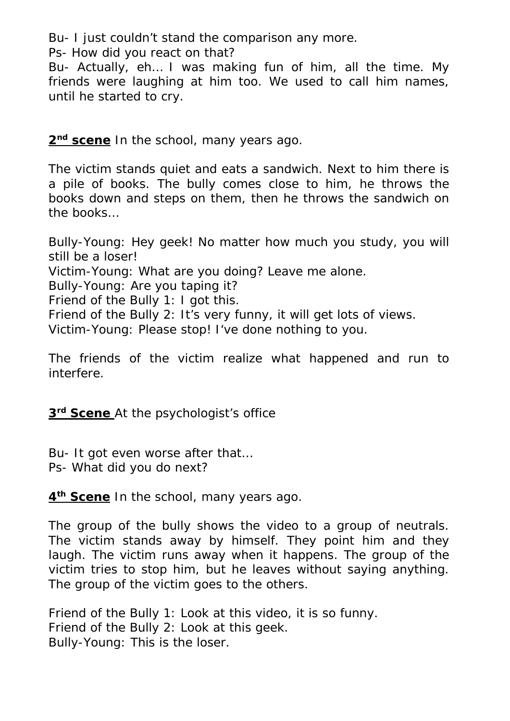Bu- I just couldn't stand the comparison any more.

Ps- How did you react on that?

Bu- Actually, eh… I was making fun of him, all the time. My friends were laughing at him too. We used to call him names, until he started to cry.

**2nd scene** In the school, many years ago.

The victim stands quiet and eats a sandwich. Next to him there is a pile of books. The bully comes close to him, he throws the books down and steps on them, then he throws the sandwich on the books…

Bully-Young: Hey geek! No matter how much you study, you will still be a loser! Victim-Young: What are you doing? Leave me alone. Bully-Young: Are you taping it? Friend of the Bully 1: I got this. Friend of the Bully 2: It's very funny, it will get lots of views. Victim-Young: Please stop! I've done nothing to you.

The friends of the victim realize what happened and run to interfere.

**3rd Scene** At the psychologist's office

Bu- It got even worse after that… Ps- What did you do next?

**4th Scene** In the school, many years ago.

The group of the bully shows the video to a group of neutrals. The victim stands away by himself. They point him and they laugh. The victim runs away when it happens. The group of the victim tries to stop him, but he leaves without saying anything. The group of the victim goes to the others.

Friend of the Bully 1: Look at this video, it is so funny. Friend of the Bully 2: Look at this geek. Bully-Young: This is the loser.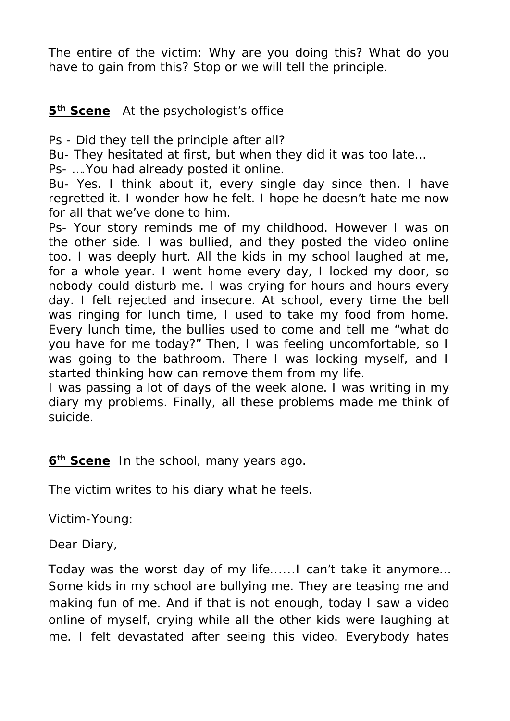The entire of the victim: Why are you doing this? What do you have to gain from this? Stop or we will tell the principle.

## **5th Scene** At the psychologist's office

Ps - Did they tell the principle after all?

Bu- They hesitated at first, but when they did it was too late…

Ps- ….You had already posted it online.

Bu- Yes. I think about it, every single day since then. I have regretted it. I wonder how he felt. I hope he doesn't hate me now for all that we've done to him.

Ps- Your story reminds me of my childhood. However I was on the other side. I was bullied, and they posted the video online too. I was deeply hurt. All the kids in my school laughed at me, for a whole year. I went home every day, I locked my door, so nobody could disturb me. I was crying for hours and hours every day. I felt rejected and insecure. At school, every time the bell was ringing for lunch time, I used to take my food from home. Every lunch time, the bullies used to come and tell me "what do you have for me today?" Then, I was feeling uncomfortable, so I was going to the bathroom. There I was locking myself, and I started thinking how can remove them from my life.

I was passing a lot of days of the week alone. I was writing in my diary my problems. Finally, all these problems made me think of suicide.

**6th Scene** In the school, many years ago.

The victim writes to his diary what he feels.

Victim-Young:

Dear Diary,

Today was the worst day of my life......I can't take it anymore… Some kids in my school are bullying me. They are teasing me and making fun of me. And if that is not enough, today I saw a video online of myself, crying while all the other kids were laughing at me. I felt devastated after seeing this video. Everybody hates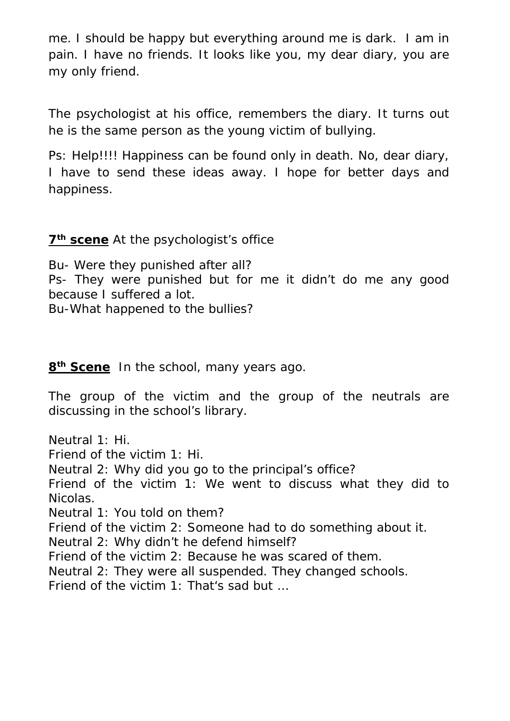me. I should be happy but everything around me is dark. I am in pain. I have no friends. It looks like you, my dear diary, you are my only friend.

The psychologist at his office, remembers the diary. It turns out he is the same person as the young victim of bullying.

Ps: Help!!!! Happiness can be found only in death. No, dear diary, I have to send these ideas away. I hope for better days and happiness.

## **7th scene** At the psychologist's office

Bu- Were they punished after all? Ps- They were punished but for me it didn't do me any good because I suffered a lot.

Bu-What happened to the bullies?

**8th Scene** In the school, many years ago.

The group of the victim and the group of the neutrals are discussing in the school's library.

Neutral 1: Hi. Friend of the victim 1: Hi. Neutral 2: Why did you go to the principal's office? Friend of the victim 1: We went to discuss what they did to Nicolas. Neutral 1: Υοu told on them? Friend of the victim 2: Someone had to do something about it. Neutral 2: Why didn't he defend himself? Friend of the victim 2: Because he was scared of them. Neutral 2: They were all suspended. They changed schools. Friend of the victim 1: That's sad but …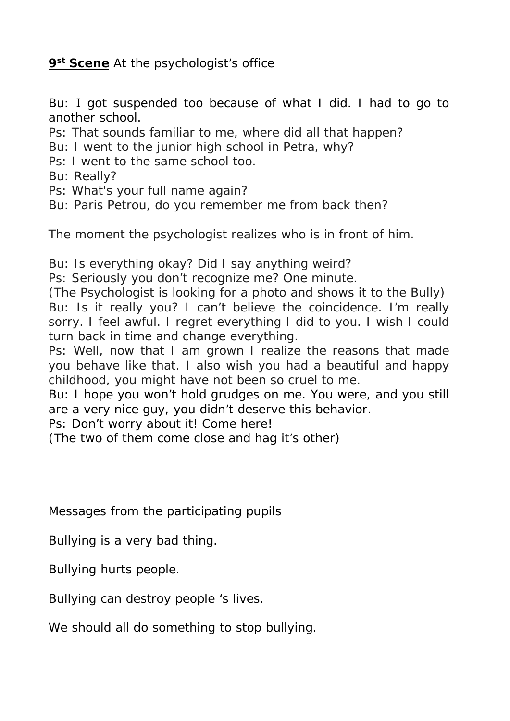**9st Scene** At the psychologist's office

Bu: Ι got suspended too because of what I did. I had to go to another school.

Ps: That sounds familiar to me, where did all that happen?

- Bu: I went to the junior high school in Petra, why?
- Ps: I went to the same school too.

Bu: Really?

Ps: What's your full name again?

Bu: Paris Petrou, do you remember me from back then?

The moment the psychologist realizes who is in front of him.

Bu: Is everything okay? Did I say anything weird?

Ps: Seriously you don't recognize me? One minute.

(The Psychologist is looking for a photo and shows it to the Bully) Bu: Is it really you? I can't believe the coincidence. I'm really sorry. I feel awful. I regret everything I did to you. I wish I could turn back in time and change everything.

Ps: Well, now that I am grown I realize the reasons that made you behave like that. I also wish you had a beautiful and happy childhood, you might have not been so cruel to me.

Bu: I hope you won't hold grudges on me. You were, and you still are a very nice guy, you didn't deserve this behavior.

Ps: Don't worry about it! Come here!

(The two of them come close and hag it's other)

Messages from the participating pupils

Bullying is a very bad thing.

Bullying hurts people.

Bullying can destroy people 's lives.

We should all do something to stop bullying.